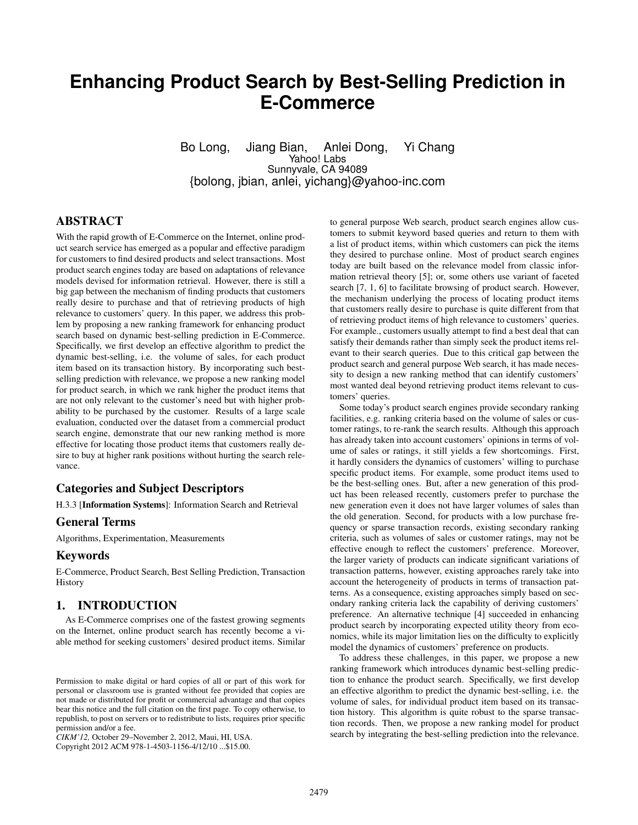# **Enhancing Product Search by Best-Selling Prediction in E-Commerce**

Bo Long, Jiang Bian, Anlei Dong, Yi Chang Yahoo! Labs Sunnyvale, CA 94089 {bolong, jbian, anlei, yichang}@yahoo-inc.com

# ABSTRACT

With the rapid growth of E-Commerce on the Internet, online product search service has emerged as a popular and effective paradigm for customers to find desired products and select transactions. Most product search engines today are based on adaptations of relevance models devised for information retrieval. However, there is still a big gap between the mechanism of finding products that customers really desire to purchase and that of retrieving products of high relevance to customers' query. In this paper, we address this problem by proposing a new ranking framework for enhancing product search based on dynamic best-selling prediction in E-Commerce. Specifically, we first develop an effective algorithm to predict the dynamic best-selling, i.e. the volume of sales, for each product item based on its transaction history. By incorporating such bestselling prediction with relevance, we propose a new ranking model for product search, in which we rank higher the product items that are not only relevant to the customer's need but with higher probability to be purchased by the customer. Results of a large scale evaluation, conducted over the dataset from a commercial product search engine, demonstrate that our new ranking method is more effective for locating those product items that customers really desire to buy at higher rank positions without hurting the search relevance.

## Categories and Subject Descriptors

H.3.3 [Information Systems]: Information Search and Retrieval

#### General Terms

Algorithms, Experimentation, Measurements

# Keywords

E-Commerce, Product Search, Best Selling Prediction, Transaction **History** 

#### 1. INTRODUCTION

As E-Commerce comprises one of the fastest growing segments on the Internet, online product search has recently become a viable method for seeking customers' desired product items. Similar

Copyright 2012 ACM 978-1-4503-1156-4/12/10 ...\$15.00.

to general purpose Web search, product search engines allow customers to submit keyword based queries and return to them with a list of product items, within which customers can pick the items they desired to purchase online. Most of product search engines today are built based on the relevance model from classic information retrieval theory [5]; or, some others use variant of faceted search [7, 1, 6] to facilitate browsing of product search. However, the mechanism underlying the process of locating product items that customers really desire to purchase is quite different from that of retrieving product items of high relevance to customers' queries. For example., customers usually attempt to find a best deal that can satisfy their demands rather than simply seek the product items relevant to their search queries. Due to this critical gap between the product search and general purpose Web search, it has made necessity to design a new ranking method that can identify customers' most wanted deal beyond retrieving product items relevant to customers' queries.

Some today's product search engines provide secondary ranking facilities, e.g. ranking criteria based on the volume of sales or customer ratings, to re-rank the search results. Although this approach has already taken into account customers' opinions in terms of volume of sales or ratings, it still yields a few shortcomings. First, it hardly considers the dynamics of customers' willing to purchase specific product items. For example, some product items used to be the best-selling ones. But, after a new generation of this product has been released recently, customers prefer to purchase the new generation even it does not have larger volumes of sales than the old generation. Second, for products with a low purchase frequency or sparse transaction records, existing secondary ranking criteria, such as volumes of sales or customer ratings, may not be effective enough to reflect the customers' preference. Moreover, the larger variety of products can indicate significant variations of transaction patterns, however, existing approaches rarely take into account the heterogeneity of products in terms of transaction patterns. As a consequence, existing approaches simply based on secondary ranking criteria lack the capability of deriving customers' preference. An alternative technique [4] succeeded in enhancing product search by incorporating expected utility theory from economics, while its major limitation lies on the difficulty to explicitly model the dynamics of customers' preference on products.

To address these challenges, in this paper, we propose a new ranking framework which introduces dynamic best-selling prediction to enhance the product search. Specifically, we first develop an effective algorithm to predict the dynamic best-selling, i.e. the volume of sales, for individual product item based on its transaction history. This algorithm is quite robust to the sparse transaction records. Then, we propose a new ranking model for product search by integrating the best-selling prediction into the relevance.

Permission to make digital or hard copies of all or part of this work for personal or classroom use is granted without fee provided that copies are not made or distributed for profit or commercial advantage and that copies bear this notice and the full citation on the first page. To copy otherwise, to republish, to post on servers or to redistribute to lists, requires prior specific permission and/or a fee.

*CIKM'12,* October 29–November 2, 2012, Maui, HI, USA.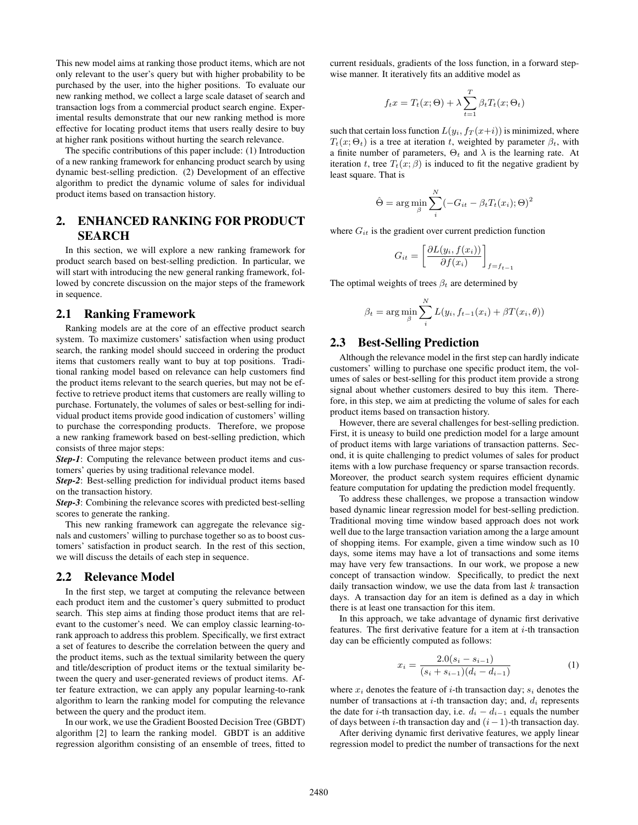This new model aims at ranking those product items, which are not only relevant to the user's query but with higher probability to be purchased by the user, into the higher positions. To evaluate our new ranking method, we collect a large scale dataset of search and transaction logs from a commercial product search engine. Experimental results demonstrate that our new ranking method is more effective for locating product items that users really desire to buy at higher rank positions without hurting the search relevance.

The specific contributions of this paper include: (1) Introduction of a new ranking framework for enhancing product search by using dynamic best-selling prediction. (2) Development of an effective algorithm to predict the dynamic volume of sales for individual product items based on transaction history.

# 2. ENHANCED RANKING FOR PRODUCT SEARCH

In this section, we will explore a new ranking framework for product search based on best-selling prediction. In particular, we will start with introducing the new general ranking framework, followed by concrete discussion on the major steps of the framework in sequence.

#### 2.1 Ranking Framework

Ranking models are at the core of an effective product search system. To maximize customers' satisfaction when using product search, the ranking model should succeed in ordering the product items that customers really want to buy at top positions. Traditional ranking model based on relevance can help customers find the product items relevant to the search queries, but may not be effective to retrieve product items that customers are really willing to purchase. Fortunately, the volumes of sales or best-selling for individual product items provide good indication of customers' willing to purchase the corresponding products. Therefore, we propose a new ranking framework based on best-selling prediction, which consists of three major steps:

*Step-1*: Computing the relevance between product items and customers' queries by using traditional relevance model.

*Step-2*: Best-selling prediction for individual product items based on the transaction history.

*Step-3*: Combining the relevance scores with predicted best-selling scores to generate the ranking.

This new ranking framework can aggregate the relevance signals and customers' willing to purchase together so as to boost customers' satisfaction in product search. In the rest of this section, we will discuss the details of each step in sequence.

#### 2.2 Relevance Model

In the first step, we target at computing the relevance between each product item and the customer's query submitted to product search. This step aims at finding those product items that are relevant to the customer's need. We can employ classic learning-torank approach to address this problem. Specifically, we first extract a set of features to describe the correlation between the query and the product items, such as the textual similarity between the query and title/description of product items or the textual similarity between the query and user-generated reviews of product items. After feature extraction, we can apply any popular learning-to-rank algorithm to learn the ranking model for computing the relevance between the query and the product item.

In our work, we use the Gradient Boosted Decision Tree (GBDT) algorithm [2] to learn the ranking model. GBDT is an additive regression algorithm consisting of an ensemble of trees, fitted to

current residuals, gradients of the loss function, in a forward stepwise manner. It iteratively fits an additive model as

$$
f_t x = T_t(x; \Theta) + \lambda \sum_{t=1}^T \beta_t T_t(x; \Theta_t)
$$

such that certain loss function  $L(y_i, f_T(x+i))$  is minimized, where  $T_t(x; \Theta_t)$  is a tree at iteration *t*, weighted by parameter  $\beta_t$ , with a finite number of parameters,  $\Theta_t$  and  $\lambda$  is the learning rate. At iteration *t*, tree  $T_t(x;\beta)$  is induced to fit the negative gradient by least square. That is

$$
\hat{\Theta} = \arg\min_{\beta} \sum_{i}^{N} (-G_{it} - \beta_t T_t(x_i); \Theta)^2
$$

where  $G_{it}$  is the gradient over current prediction function

$$
G_{it} = \left[\frac{\partial L(y_i, f(x_i))}{\partial f(x_i)}\right]_{f=f_{t-1}}
$$

The optimal weights of trees  $\beta_t$  are determined by

$$
\beta_t = \arg\min_{\beta} \sum_{i}^{N} L(y_i, f_{t-1}(x_i) + \beta T(x_i, \theta))
$$

## 2.3 Best-Selling Prediction

Although the relevance model in the first step can hardly indicate customers' willing to purchase one specific product item, the volumes of sales or best-selling for this product item provide a strong signal about whether customers desired to buy this item. Therefore, in this step, we aim at predicting the volume of sales for each product items based on transaction history.

However, there are several challenges for best-selling prediction. First, it is uneasy to build one prediction model for a large amount of product items with large variations of transaction patterns. Second, it is quite challenging to predict volumes of sales for product items with a low purchase frequency or sparse transaction records. Moreover, the product search system requires efficient dynamic feature computation for updating the prediction model frequently.

To address these challenges, we propose a transaction window based dynamic linear regression model for best-selling prediction. Traditional moving time window based approach does not work well due to the large transaction variation among the a large amount of shopping items. For example, given a time window such as 10 days, some items may have a lot of transactions and some items may have very few transactions. In our work, we propose a new concept of transaction window. Specifically, to predict the next daily transaction window, we use the data from last *k* transaction days. A transaction day for an item is defined as a day in which there is at least one transaction for this item.

In this approach, we take advantage of dynamic first derivative features. The first derivative feature for a item at *i*-th transaction day can be efficiently computed as follows:

$$
x_i = \frac{2.0(s_i - s_{i-1})}{(s_i + s_{i-1})(d_i - d_{i-1})}
$$
(1)

where  $x_i$  denotes the feature of *i*-th transaction day;  $s_i$  denotes the number of transactions at *i*-th transaction day; and, *d<sup>i</sup>* represents the date for *i*-th transaction day, i.e.  $d_i - d_{i-1}$  equals the number of days between *i*-th transaction day and (*i−*1)-th transaction day.

After deriving dynamic first derivative features, we apply linear regression model to predict the number of transactions for the next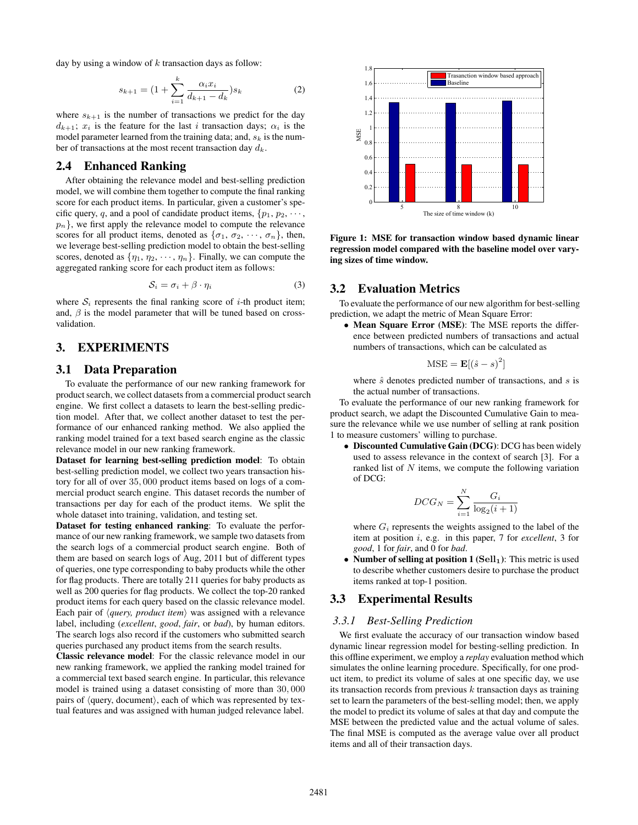day by using a window of *k* transaction days as follow:

$$
s_{k+1} = \left(1 + \sum_{i=1}^{k} \frac{\alpha_i x_i}{d_{k+1} - d_k}\right) s_k \tag{2}
$$

where  $s_{k+1}$  is the number of transactions we predict for the day  $d_{k+1}$ ;  $x_i$  is the feature for the last *i* transaction days;  $\alpha_i$  is the model parameter learned from the training data; and, *s<sup>k</sup>* is the number of transactions at the most recent transaction day *dk*.

#### 2.4 Enhanced Ranking

After obtaining the relevance model and best-selling prediction model, we will combine them together to compute the final ranking score for each product items. In particular, given a customer's specific query, *q*, and a pool of candidate product items,  $\{p_1, p_2, \dots\}$  $p_n$ }, we first apply the relevance model to compute the relevance scores for all product items, denoted as  ${\lbrace \sigma_1, \sigma_2, \cdots, \sigma_n \rbrace}$ , then, we leverage best-selling prediction model to obtain the best-selling scores, denoted as  $\{\eta_1, \eta_2, \cdots, \eta_n\}$ . Finally, we can compute the aggregated ranking score for each product item as follows:

$$
S_i = \sigma_i + \beta \cdot \eta_i \tag{3}
$$

where  $S_i$  represents the final ranking score of *i*-th product item; and,  $\beta$  is the model parameter that will be tuned based on crossvalidation.

# 3. EXPERIMENTS

#### 3.1 Data Preparation

To evaluate the performance of our new ranking framework for product search, we collect datasets from a commercial product search engine. We first collect a datasets to learn the best-selling prediction model. After that, we collect another dataset to test the performance of our enhanced ranking method. We also applied the ranking model trained for a text based search engine as the classic relevance model in our new ranking framework.

Dataset for learning best-selling prediction model: To obtain best-selling prediction model, we collect two years transaction history for all of over 35*,* 000 product items based on logs of a commercial product search engine. This dataset records the number of transactions per day for each of the product items. We split the whole dataset into training, validation, and testing set.

Dataset for testing enhanced ranking: To evaluate the performance of our new ranking framework, we sample two datasets from the search logs of a commercial product search engine. Both of them are based on search logs of Aug, 2011 but of different types of queries, one type corresponding to baby products while the other for flag products. There are totally 211 queries for baby products as well as 200 queries for flag products. We collect the top-20 ranked product items for each query based on the classic relevance model. Each pair of *⟨query, product item⟩* was assigned with a relevance label, including (*excellent*, *good*, *fair*, or *bad*), by human editors. The search logs also record if the customers who submitted search queries purchased any product items from the search results.

Classic relevance model: For the classic relevance model in our new ranking framework, we applied the ranking model trained for a commercial text based search engine. In particular, this relevance model is trained using a dataset consisting of more than 30*,* 000 pairs of *⟨*query, document*⟩*, each of which was represented by textual features and was assigned with human judged relevance label.



Figure 1: MSE for transaction window based dynamic linear regression model compared with the baseline model over varying sizes of time window.

#### 3.2 Evaluation Metrics

To evaluate the performance of our new algorithm for best-selling prediction, we adapt the metric of Mean Square Error:

*•* Mean Square Error (MSE): The MSE reports the difference between predicted numbers of transactions and actual numbers of transactions, which can be calculated as

$$
MSE = \mathbf{E}[(\hat{s} - s)^2]
$$

where  $\hat{s}$  denotes predicted number of transactions, and *s* is the actual number of transactions.

To evaluate the performance of our new ranking framework for product search, we adapt the Discounted Cumulative Gain to measure the relevance while we use number of selling at rank position 1 to measure customers' willing to purchase.

*•* Discounted Cumulative Gain (DCG): DCG has been widely used to assess relevance in the context of search [3]. For a ranked list of *N* items, we compute the following variation of DCG:

$$
DCG_N = \sum_{i=1}^{N} \frac{G_i}{\log_2(i+1)}
$$

where  $G_i$  represents the weights assigned to the label of the item at position *i*, e.g. in this paper, 7 for *excellent*, 3 for *good*, 1 for *fair*, and 0 for *bad*.

*•* Number of selling at position 1 (**Sell1**): This metric is used to describe whether customers desire to purchase the product items ranked at top-1 position.

#### 3.3 Experimental Results

#### *3.3.1 Best-Selling Prediction*

We first evaluate the accuracy of our transaction window based dynamic linear regression model for besting-selling prediction. In this offline experiment, we employ a *replay* evaluation method which simulates the online learning procedure. Specifically, for one product item, to predict its volume of sales at one specific day, we use its transaction records from previous *k* transaction days as training set to learn the parameters of the best-selling model; then, we apply the model to predict its volume of sales at that day and compute the MSE between the predicted value and the actual volume of sales. The final MSE is computed as the average value over all product items and all of their transaction days.